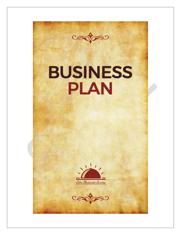

# **BUSINESS PLAN**



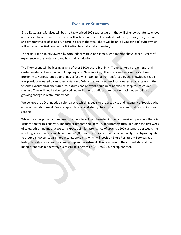# <span id="page-3-0"></span>**Executive Summary**

<span id="page-3-1"></span>Entre Restaurant Services will be a suitably priced 100 seatrestaurant that will offer corporate style food and service to individuals. The menu will include continental breakfast, pot roast, steaks, burgers, pizza and different types of salads. On certain days of the week there will be an 'all you can eat' buffet which will increase the likelihood of participation from all strata of society

The restaurant is jointly owned by cofounders Marcus and James, who together have over 50 years of

experience in the restaurant and hospitality industry.<br>The Thompsons will be leasing a land of over 3500 square feet in Hi-Trade center, a prominent retail center located in the suburbs of Chappaqua, in New York City. The site is well known for its close proximity to various food supply lines, a fact which can be further reinforced by the knowledge that it was previously leased by another restaurant. While the land was previously leased as a restaurant, the tenants evacuated all the furniture, fixtures and relevant equipment needed to keep the restaurant running. They will need to be replaced and will require additional renovation facilities to reflect the growing change in restaurant trends.

We believe the décor needs a color palette which appeals to the creativity and ingenuity of foodies who enter our establishment. For example, classical and sturdy chairs which offer comfortable cushions for seating.

While the sales projection assumes that people will be interested in the first week of operation, there is justification for this analysis. The former tenants had up to 1800 customers turn up during the first week of sales, which means that we can expect a similar attendance of around 1600 customers per week, the resulting sales of which will be around \$20,000 weekly, or close to a million annually. This figure equates to around \$400 per square foot in sales, annually, which will position Entre Restaurant Services as a highly desirable restaurant for ownership and investment. This is in view of the current state of the market that puts moderately successful businesses at \$200 to \$300 per square foot.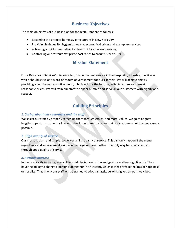# <span id="page-4-0"></span>**Business Objectives**

<span id="page-4-1"></span>The main objectives of business plan for the restaurant are as follows:

- Becoming the premier home style restaurant in New York City
- Providing high quality, hygienic meals at economical prices and exemplary services
- Achieving a quick cover ratio of at least 1.75 x after each serving
- Controlling our restaurant's prime cost ratios to around 65% to 55%

# **Mission Statement**

Entre Restaurant Services' mission is to provide the best service in the hospitality industry, the likes of which should serve as a word-of-mouth advertisement for our clientele. We will achieve this by providing a concise yet attractive menu, which will use the best ingredients and serve them at reasonable prices. We will train our staff to appear humble and serve all our customers with dignity and respect.

# **Guiding Principles**

#### *1. Caring about our customers and the staff*

We select our staff by properly screening them through ethical and moral values, we go to at great lengths to perform proper background checks on them to ensure that our customers get the best service possible.

#### *2. High quality of service*

Our motto is plain and simple: to deliver a high quality of service. This can only happen if the menu, ingredients and service are all on the same page with each other. The only way to retain clients is through good quality of service.

#### *3. Attitude matters*

In the hospitality industry, every little smirk, facial contortion and gesture matters significantly. They have the ability to change a person's demeanor in an instant, which either provoke feelings of happiness or hostility. That is why our staff will be trained to adoptan attitude which gives off positive vibes.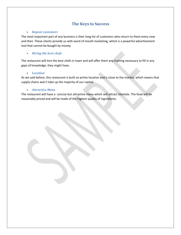# **The Keys to Success**

#### <span id="page-5-0"></span>*Repeat customers*

The most important part of any business is their long list of customers who return to them every now and then. These clients provide us with word of mouth marketing, which is a powerful advertisement tool that cannot be bought by money.

### *Hiring the best chefs*

The restaurant will hire the best chefs in town and will offer them any training necessary to fill in any gaps of knowledge, they might have.

#### *Location*

As we said before, this restaurant is built on prime location and is close to the market, which means that supply chains won't take up the majority of our capital.

#### *Attractive Menu*

The restaurant will have a concise but attractive menu which will attract clientele. The food will be reasonably priced and will be made of the highest quality of ingredients.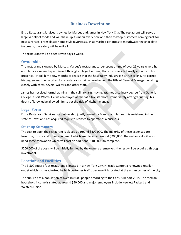# **Business Description**

<span id="page-6-0"></span>Entre Restaurant Services is owned by Marcus and James in New York City. The restaurant will serve a large variety of foods and will shake up its menu every now and then to keep customers coming back for new surprises. From classic home style favorites such as mashed potatoes to mouthwatering chocolate ice cream, the eatery will have it all.

The restaurant will be open seven days a week.

## **Ownership**

The restaurant is owned by Marcus. Marcus's restaurant career spans a time of over 25 years where he enrolled as a server to put himself through college. He found that customers felt really at home in his presence, it took him a few months to realize that the hospitality industry is his true calling. He earned his degree and then worked for a restaurant chain where he held the title of General Manager, working closely with chefs, severs, waiters and other staff.

James has received formal training in the culinary arts, having attained a culinary degree from Generic College in Fort Worth. He was employed as chef at a five star hotel immediately after graduating, his depth of knowledge allowed him to get the title of kitchen manager.

## **Legal Form**

Entre Restaurant Services is a partnership jointly owned by Marcus and James. It is registered in the state of Texas and has acquired requisite licenses to operate as a business.

## **Start up Summary**

The cost to open the restaurant is placed at around \$400,000. The majority of these expenses are furniture, fixture and other equipment which are placed at around \$200,000. The restaurant will also need some renovation which will cost an additional \$100,000 to complete.

\$200,000 of the costs will be initially funded by the owners themselves, the rest will be acquired through investment.

## **Location and Facilities**

The 3,500 square foot restaurant is located in a New York City, Hi-trade Center, a renowned retailer outlet which is characterized by high customer traffic because it is located at the urban center of the city.

The suburb has a population of over 100,000 people according to the Census Report 2015. The median household income is stated at around \$50,000 and major employers include Hewlett Packard and Western Union.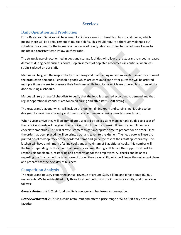# <span id="page-7-0"></span>**Services**

# <span id="page-7-1"></span>**Daily Operation and Production**

Entre Restaurant Services will be opened for 7 days a week for breakfast, lunch, and dinner, which means there will be a requirement of multiple shifts. This would require a thoroughly planned out schedule to account for the increase or decrease of hourly labor according to the volume of sales to maintain a consistent cash inflow-outflow ratio.

The strategic use of rotation techniques and storage facilities will allow the restaurant to meet increased demands during peak business hours. Replenishment of depleted resources will continue when less strain is placed on our staff.<br>Marcus will be given the responsibility of ordering and maintaining minimum levels of inventory to meet

the production demands. Perishable goods which are consumed soon after purchase will be ordered multiple times a week to preserve their freshness while food items which are ordered less often will be done so using a schedule.

Marcus will rely on useful checklists to verify that the food is prepared according to demand and that regular operational standards are followed during and after staff's shift timings.

The restaurant's layout, which will include the kitchen, dining room and serving line, is going to be designed to maximize efficiency and meet customer demands during peak business hours.

When guests arrive they will be immediately greeted by an assistant manager and guided to a seat of their choice. Guests will be given their choice of drink (on the house) followed by complimentary chocolate smoothies.This will allow customers to get appropriate time to prepare for an order. Once the order has been placed it will be printed out and taken to the kitchen. The head cook will use the printed ticket to keep track of their ordered items and guide the rest of their staff appropriately. The kitchen will have a minimum of 2 line cooks and a maximum of 3 additional cooks, this number will fluctuate depending on the amount of business volume. During shift hours, the support staff will be responsible for cleanup, restocking and preparation for the employees. All checks and balances regarding the finances will be taken care of during the closing shift, which will leave the restaurant clean and prepared for the next day of business.

## **Competition Analysis**

The restaurant industry generated annual revenue of around \$350 billion, and it has about 460,000 restaurants. We have identified only three local competitors in our immediate vicinity, and they are as follows:

*Generic Restaurant 1:* Their food quality is average and has lukewarm reception.

*Generic Restaurant 2:* This is a chain restaurant and offers a price range of \$6 to \$20, they are a crowd favorite.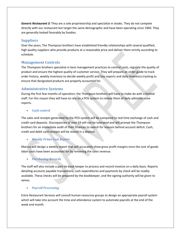<span id="page-8-1"></span><span id="page-8-0"></span>*Generic Restaurant 3:* They are a sole proprietorship and specialize in steaks. They do not compete directly with our restaurant but target the same demographic and have been operating since 1960. They are generally looked favorably by foodies.

## **Suppliers**

Over the years, The Thompson brothers have established friendly relationships with several qualified, high quality suppliers who provide products at a reasonable price and deliver them strictly according to schedule.

# **Management Controls**

The Thompson brothers specialize in best management practices to control costs, regulate the quality of product and ensure the highest quality of customer service. They will prepare an order guide to track order history, weekly inventory to decide weekly profit and loss reports and daily inventory tracking to ensure that designated products are properly accounted for.

# **Administrative Systems**

During the first few months of operation, the Thompson brothers will have to make do with a limited staff. For this reason they will have to rely on a POS system to relieve them of daily administrative reports.

*Cash control*

The sales and receipts generated by the POS system will be compared to real time exchange of cash and credit card deposits. Discrepancies of over \$4 will not be tolerated and will prompt the Thompson brothers for an immediate audit of their finances to search for reasons behind account deficit. Cash, credit and debit card receipts will be stored in a deposit.

## *Weekly Prime Cost Report*

Marcus will design a weekly report that will accurately show gross profit margins once the cost of goods labor costs have been accounted for by removing the sales revenue.

*Purchasing Records*

The staff will also include a part tie book keeper to process and record invoices on a daily basis. Reports detailing accounts payable transactions, cash expenditures and payments by check will be readily available. These checks will be prepared by the bookkeeper, and the signing authority will be given to James.

## *Payroll Processing*

Entre Restaurant Services will consult human resources groups to design an appropriate payroll system which will take into account the time and attendance system to automate payrolls at the end of the week and month.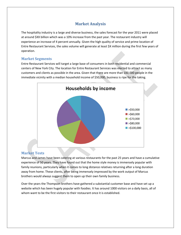# <span id="page-9-0"></span>**Market Analysis**

<span id="page-9-1"></span>The hospitality industry is a large and diverse business, the sales forecast for the year 2011 were placed at around \$XX billion which was a 10% increase from the past year. The restaurant industry will experience an increase of 4 percent annually. Given the high quality of service and prime location of Entre Restaurant Services, the sales volume will generate at least \$X million during the first few years of operation.

## **Market Segments**

Entre Restaurant Services will target a large base of consumers in both residential and commercial centers of New York City. The location for Entre Restaurant Services was elected to attract as many customers and clients as possible in the area. Given that there are more than 100,000 people in the immediate vicinity with a median household income of \$50,000, business is ripe for the taking.



## **Market Tests**

Marcus and James have been catering at various restaurants for the past 25 years and have a cumulative experience of 50 years. They have found out that the home style money is immensely popular with family reunions, particularly when it comes to long distance relatives returning after a long duration away from home. These clients, after being immensely impressed by the work output of Marcus brothers would always suggest them to open up their own family business.

Over the years the Thompson brothers have gathered a substantial customer base and have setup a website which has been hugely popular with foodies. It has around 1000 visitors on a daily basis, all of whom want to be the first visitors to their restaurant once it is established.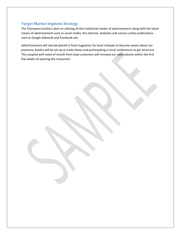# <span id="page-10-0"></span>**Target Market Segment Strategy**

The Thompson brothers plan on utilizing all the traditional modes of advertisement along with the latest means of advertisement such as social media, the internet, websites and various online publications such as Google Adwords and Facebook ads.

Advertisements will also be placed in food magazines for local critiques to become aware about our presence, booths will be set up at trade shows and participating in local conferences to get word out. This coupled with word of mouth from loyal customers will increase our sales volume within the first few weeks of opening the restaurant.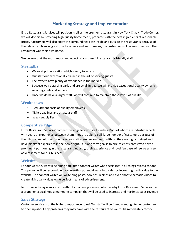# **Marketing Strategy and Implementation**

<span id="page-11-0"></span>Entre Restaurant Services will position itself as the premier restaurant in New York City, Hi Trade Center, we will do this by providing high quality home meals, prepared with the best ingredients at reasonable prices. Customers will also enjoy the surroundings both inside and outside the restaurants because of the relaxed ambience, good quality servers and warm smiles, the customers will be welcomed as if the restaurant was their own home.

We believe that the most important aspect of a successful restaurant is friendly staff.

## **Strengths**

- We're at prime location which is easy to access
- Our staff our exceptionally trained in the art of serving guests
- The owners have plenty of experience in the market
- Because we're starting early and are small in size, we will provide exceptional quality by hand selecting chefs and servers
- Once we do have a larger staff, we will continue to maintain these levels of quality

#### **Weaknesses**

- Recruitment costs of quality employees
- Tight deadlines and amateur staff
- Weak supply lies

## **Competitive Edge**

Entre Restaurant Services' competitive edge lies with its founders. Both of whom are industry experts with years of experience between them, they are able to pull large number of customers because of their flair alone. Although we have few staff members on board with us, they are highly trained and have plenty of experience in their own right. Our long term goal is to hire celebrity chefs who have a prominent positioning in the restaurant industry, their experience and loyal fan base will serve as free advertisement for our business.

## **Website**

For our website, we will be hiring a full time content writer who specializes in all things related to food. This person will be responsible for converting potential leads into sales by increasing traffic value to the website. The content writer will write blog posts, how-tos, recipes and even shoot cinematic videos to create high quality vlogs – the perfect means of advertisement.

No business today is successful without an online presence, which is why Entre Restaurant Services has a prominent social media marketing campaign that will be used to increase and maximize sales revenue

## **Sales Strategy**

Customer service is of the highest importance to us! Our staff will be friendly enough to get customers to open up about any problems they may have with the restaurant so we could immediately rectify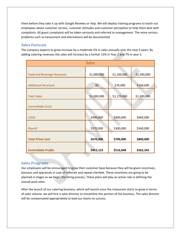<span id="page-12-0"></span>them before they take it up with Google Reviews or Yelp. We will deploy training programs to teach our employees about customer service, customer attitudes and customer perception to help them deal with complaints. All guest complaints will be taken seriously and referred to management. The more serious problems such as harassment and alternations will be documented.

## **Sales Forecast**

The company expects to grow increase by a moderate 5% in sales annually over the next 3 years. By adding catering revenues the sales will increase by a further 13% in Year 2 and 7% in year 3.

| <b>Sales</b>                      |             |             |             |  |  |
|-----------------------------------|-------------|-------------|-------------|--|--|
|                                   |             |             |             |  |  |
| <b>Food and Beverage Revenues</b> | \$1,000,000 | \$1,100,000 | \$1,200,000 |  |  |
| <b>Additional Revenues</b>        | \$0         | \$70,000    | \$100,000   |  |  |
| <b>Total Sales</b>                | \$1,000,000 | \$1,170,000 | \$1,300,000 |  |  |
| <b>Controllable Costs</b>         |             |             |             |  |  |
| <b>COGS</b>                       | \$400,000   | \$400,000   | \$460,000   |  |  |
| Payroll                           | \$270,000   | \$300,000   | \$340,000   |  |  |
| <b>Total Prime Cost</b>           | \$670,000   | \$700,000   | \$800,000   |  |  |
| <b>Controllable Profits</b>       | \$453,123   | \$516,848   | \$562,343   |  |  |

## **Sales Programs**

Our employees will be encouraged to grow their customer base because they will be given incentives, bonuses and appraisals in case of referrals and repeat clientele. These incentives are going to be planned in stages as we begin the hiring process. These plans will play an active role in defining the overall work ethic.

After the launch of our catering business, which will launch once the restaurant starts to grow in terms of sales volume, we will hire a sales director to streamline this portion of the business. The sales director will be compensated appropriately to lead our teams to success.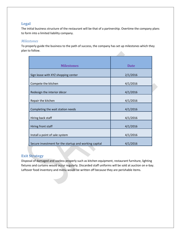## <span id="page-13-0"></span>**Legal**

The initial business structure of the restaurant will be that of a partnership. Overtime the company plans to form into a limited liability company.

## *Milestones*

To properly guide the business to the path of success, the company has set up milestones which they plan to follow.

| <b>Milestones</b>                                     | <b>Date</b> |  |
|-------------------------------------------------------|-------------|--|
| Sign lease with XYZ shopping center                   | 2/1/2016    |  |
| Compete the kitchen                                   | 4/1/2016    |  |
| Redesign the interior décor                           | 4/1/2016    |  |
| Repair the kitchen                                    | 4/1/2016    |  |
| Completing the wait station needs                     | 4/1/2016    |  |
| Hiring back staff                                     | 4/1/2016    |  |
| Hiring front staff                                    | 4/1/2016    |  |
| Install a point of sale system                        | 4/1/2016    |  |
| Secure investment for the startup and working capital | 4/1/2016    |  |

# **Exit Strategy**

Disposal of damaged and useless properly such as kitchen equipment, restaurant furniture, lighting fixtures and curtains would occur regularly. Discarded staff uniforms will be sold at auction on e-bay. Leftover food inventory and menu would be written off because they are perishable items.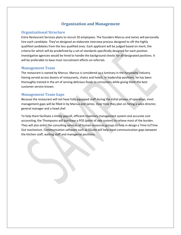# **Organization and Management**

## <span id="page-14-0"></span>**Organizational Structure**

Entre Restaurant Services plans to recruit 20 employees.The founders Marcus and James will personally hire each candidate. They've designed an elaborate interview process designed to sift the highly qualified candidates from the less qualified ones. Each applicant will be judged based on merit, the criteria for which will be predefined by a set of standards specifically designed for each position. Investigative agencies would be hired to handle the background checks for all designated positions. It will be preferable to base most recruitment efforts on referrals.

#### **Management Team**

The restaurant is owned by Marcus. Marcus is considered as a luminary in the hospitality industry.<br>Having served across dozens of restaurants, chains and hotels, in leadership positions, he has been thoroughly trained in the art of serving delicious foods to consumers while giving them the best customer service known.

## **Management Team Gaps**

Because the restaurant will not have fully equipped staff during the initial phases of operation, most management gaps will be filled in by Marcus and James. Over time they plan on hiring a sales director, general manager and a head chef.<br>To help them facilitate a timely payroll, efficient inventory management system and accurate cost

accounting, the Thompsons will purchase a POS (point of sale system) to relieve most of the burden. They will also enlist the consulting services of human resources groups to help in design a Time In/Time Out mechanism. Communication software such as GSuite will help meet communication gaps between the kitchen staff, waiting staff and managerial positions.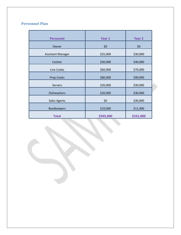# <span id="page-15-0"></span>**Personnel Plan**

| <b>Personnel</b>         | Year 1    | Year 2    |  |
|--------------------------|-----------|-----------|--|
| Owner                    | \$0       | \$0       |  |
| <b>Assistant Manager</b> | \$25,000  | \$30,000  |  |
| Cashier                  | \$30,000  | \$40,000  |  |
| Line Cooks               | \$60,000  | \$70,000  |  |
| <b>Prep Cooks</b>        | \$80,000  | \$90,000  |  |
| Servers                  | \$20,000  | \$30,000  |  |
| <b>Dishwashers</b>       | \$20,000  | \$30,000  |  |
| <b>Sales Agents</b>      | \$0       | \$30,000  |  |
| <b>Bookkeepers</b>       | \$10,000  | \$11,000  |  |
| <b>Total</b>             | \$245,000 | \$331,000 |  |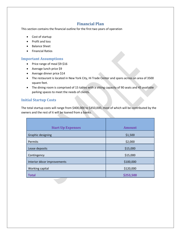# <span id="page-16-1"></span>**Financial Plan**

<span id="page-16-0"></span>This section contains the financial outline for the first two years of operation

- Cost of startup
- Profit and loss
- Balance Sheet
- **•** Financial Ratios

## **Important Assumptions**

- Price range of meal \$9-\$16
- Average lunch price \$9
- Average dinner price  $$14$
- The restaurant is located in New York City, Hi Trade Center and spans across an area of 3500 square feet.
- The dining room is comprised of 15 tables with a sitting capacity of 90 seats and 45 available parking spaces to meet the needs of clients.

# **Initial Startup Costs**

The total startup costs will range from \$400,000 to \$450,000, most of which will be contributed by the owners and the rest of it will be loaned from a banks.

| <b>Start Up Expenses</b>    | <b>Amount</b> |
|-----------------------------|---------------|
| <b>Graphic designing</b>    | \$1,500       |
| Permits                     | \$2,000       |
| Lease deposits              | \$15,000      |
| Contingency                 | \$15,000      |
| Interior décor improvements | \$100,000     |
| Working capital             | \$120,000     |
| <b>Total</b>                | \$253,500     |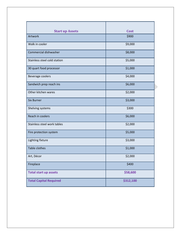<span id="page-17-0"></span>

| <b>Cost</b><br><b>Start up Assets</b><br>\$900<br>\$9,000<br>Commercial dishwasher<br>\$8,000<br>\$5,000<br>30 quart food processor<br>\$1,000<br>\$4,000<br>Beverage coolers<br>\$6,000<br>Other kitchen wares<br>\$2,000<br>\$3,000<br>\$300<br>\$6,000<br>Reach in coolers<br>\$2,000<br>\$5,000<br>Fire protection system<br>Lighting fixture<br>\$3,000<br><b>Table clothes</b><br>\$1,000<br>\$2,000<br>\$400<br>Fireplace<br>\$58,600<br>\$312,100 |                               |  |
|-----------------------------------------------------------------------------------------------------------------------------------------------------------------------------------------------------------------------------------------------------------------------------------------------------------------------------------------------------------------------------------------------------------------------------------------------------------|-------------------------------|--|
|                                                                                                                                                                                                                                                                                                                                                                                                                                                           |                               |  |
|                                                                                                                                                                                                                                                                                                                                                                                                                                                           | Artwork                       |  |
|                                                                                                                                                                                                                                                                                                                                                                                                                                                           | Walk in cooler                |  |
|                                                                                                                                                                                                                                                                                                                                                                                                                                                           |                               |  |
|                                                                                                                                                                                                                                                                                                                                                                                                                                                           | Stainless steel cold station  |  |
|                                                                                                                                                                                                                                                                                                                                                                                                                                                           |                               |  |
|                                                                                                                                                                                                                                                                                                                                                                                                                                                           |                               |  |
|                                                                                                                                                                                                                                                                                                                                                                                                                                                           | Sandwich prep reach ins       |  |
|                                                                                                                                                                                                                                                                                                                                                                                                                                                           |                               |  |
|                                                                                                                                                                                                                                                                                                                                                                                                                                                           | <b>Six Burner</b>             |  |
|                                                                                                                                                                                                                                                                                                                                                                                                                                                           | Shelving systems              |  |
|                                                                                                                                                                                                                                                                                                                                                                                                                                                           |                               |  |
|                                                                                                                                                                                                                                                                                                                                                                                                                                                           | Stainless steel work tables   |  |
|                                                                                                                                                                                                                                                                                                                                                                                                                                                           |                               |  |
|                                                                                                                                                                                                                                                                                                                                                                                                                                                           |                               |  |
|                                                                                                                                                                                                                                                                                                                                                                                                                                                           |                               |  |
|                                                                                                                                                                                                                                                                                                                                                                                                                                                           | Art, Décor                    |  |
|                                                                                                                                                                                                                                                                                                                                                                                                                                                           |                               |  |
|                                                                                                                                                                                                                                                                                                                                                                                                                                                           | <b>Total start up assets</b>  |  |
|                                                                                                                                                                                                                                                                                                                                                                                                                                                           | <b>Total Capital Required</b> |  |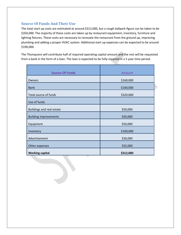## <span id="page-18-0"></span>**Source Of Funds And Their Use**

The total start up costs are estimated at around \$312,000, but a rough ballpark figure can be taken to be \$350,000. The majority of these costs are taken up by restaurant equipment, inventory, furniture and lighting fixtures. These costs are necessary to renovate the restaurant from the ground up, improving plumbing and adding a proper HVAC system. Additional start up expenses can be expected to be around \$190,000.

The Thompsons will contribute half of required operating capital amount and the rest will be requested from a bank in the form of a loan. The loan is expected to be fully repaired in a 5 year time period.

| <b>Source Of Funds</b>           | Amount    |  |
|----------------------------------|-----------|--|
| Owners                           | \$160,000 |  |
| <b>Bank</b>                      | \$160,000 |  |
| Total source of funds            | \$320,000 |  |
| Use of funds                     |           |  |
| <b>Buildings and real estate</b> | \$50,000  |  |
| <b>Building improvements</b>     | \$50,000  |  |
| Equipment                        | \$50,000  |  |
| Inventory                        | \$100,000 |  |
| Advertisement                    | \$30,000  |  |
| Other expenses                   | \$32,000  |  |
| <b>Working capital</b>           | \$312,000 |  |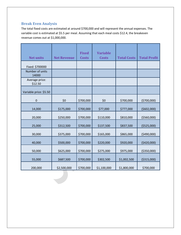# <span id="page-19-0"></span>**Break Even Analysis**

The total fixed costs are estimated at around \$700,000 and will represent the annual expenses. The variable cost is estimated at \$5.5 per meal. Assuming that each meal costs \$12.4, the breakeven revenue comes out at \$1,000,000.

| <b>Net units</b>          | <b>Net Revenue</b> | <b>Fixed</b><br><b>Costs</b> | <b>Variable</b><br><b>Costs</b> | <b>Total Costs</b> | <b>Total Profit</b> |
|---------------------------|--------------------|------------------------------|---------------------------------|--------------------|---------------------|
| Fixed: \$700000           |                    |                              |                                 |                    |                     |
| Number of units<br>14000  |                    |                              |                                 |                    |                     |
| Average price:<br>\$12.50 |                    |                              |                                 |                    |                     |
| Variable price: \$5.50    |                    |                              |                                 |                    |                     |
| $\pmb{0}$                 | \$0                | \$700,000                    | \$0                             | \$700,000          | (5700,000)          |
| 14,000                    | \$175,000          | \$700,000                    | \$77,000                        | \$777,000          | (5602,000)          |
| 20,000                    | \$250,000          | \$700,000                    | \$110,000                       | \$810,000          | ( \$560,000]        |
| 25,000                    | \$312,500          | \$700,000                    | \$137,500                       | \$837,500          | ( \$525,000)        |
| 30,000                    | \$375,000          | \$700,000                    | \$165,000                       | \$865,000          | ( \$490,000]        |
| 40,000                    | \$500,000          | \$700,000                    | \$220,000                       | \$920,000          | (5420,000)          |
| 50,000                    | \$625,000          | \$700,000                    | \$275,000                       | \$975,000          | ( \$350,000)        |
| 55,000                    | \$687,500          | \$700,000                    | \$302,500                       | \$1,002,500        | ( \$315,000)        |
| 200,000                   | \$2,500,000        | \$700,000                    | \$1,100,000                     | \$1,800,000        | \$700,000           |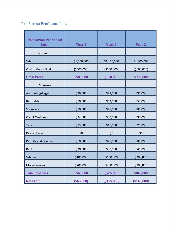# <span id="page-20-0"></span>**Pro Forma Profit and Loss**

| <b>Pro Forma Profit and</b> |              |               |                   |
|-----------------------------|--------------|---------------|-------------------|
| <b>Loss</b>                 | Year 1       | <b>Year 2</b> | Year <sub>3</sub> |
| Income                      |              |               |                   |
| <b>Sales</b>                | \$1,000,000  | \$1,100,000   | \$1,300,000       |
| Cost of Goods Sold          | ( \$500,000) | ( \$550,000)  | ( \$600,000]      |
| <b>Gross Profit</b>         | \$500,000    | \$550,000     | \$700,000         |
| <b>Expenses</b>             |              |               |                   |
| Accounting/Legal            | \$26,000     | \$28,000      | \$30,000          |
| <b>Bad debts</b>            | \$50,000     | \$52,000      | \$55,000          |
| Shrinkage                   | \$70,000     | \$75,000      | \$80,000          |
| <b>Credit Card Fees</b>     | \$24,000     | \$30,000      | \$35,000          |
| <b>Taxes</b>                | \$13,000     | \$15,000      | \$20,000          |
| <b>Payroll Taxes</b>        | \$0          | \$0           | \$0               |
| <b>Permits and Licenses</b> | \$60,000     | \$75,000      | \$80,000          |
| Rent                        | \$20,000     | \$30,000      | \$40,000          |
| <b>Salaries</b>             | \$100,000    | \$150,000     | \$200,000         |
| Miscellaneous               | \$200,000    | \$250,000     | \$300,000         |
| <b>Total Expenses</b>       | \$563,000    | \$705,000     | \$840,000         |
| <b>Net Profit</b>           | ( \$63,000]  | (\$155,000)   | (\$140,000)       |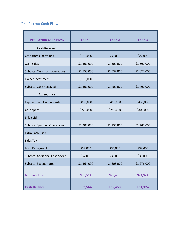# <span id="page-21-0"></span>**Pro Forma Cash Flow**

| <b>Pro Forma Cash Flow</b>           | Year 1      | Year 2      | Year <sub>3</sub> |
|--------------------------------------|-------------|-------------|-------------------|
| <b>Cash Received</b>                 |             |             |                   |
| <b>Cash from Operations</b>          | \$150,000   | \$32,000    | \$22,000          |
| Cash Sales                           | \$1,400,000 | \$1,500,000 | \$1,600,000       |
| <b>Subtotal Cash from operations</b> | \$1,550,000 | \$1,532,000 | \$1,622,000       |
| Owner investment                     | \$150,000   |             |                   |
| <b>Subtotal Cash Received</b>        | \$1,400,000 | \$1,400,000 | \$1,400,000       |
| <b>Expenditure</b>                   |             |             |                   |
| <b>Expenditures from operations</b>  | \$800,000   | \$450,000   | \$430,000         |
| Cash spent                           | \$720,000   | \$750,000   | \$800,000         |
| <b>Bills paid</b>                    |             |             |                   |
| <b>Subtotal Spent on Operations</b>  | \$1,300,000 | \$1,235,000 | \$1,200,000       |
| <b>Extra Cash Used</b>               |             |             |                   |
| <b>Sales Tax</b>                     |             |             |                   |
| Loan Repayment                       | \$32,000    | \$35,000    | \$38,000          |
| Subtotal Additional Cash Spent       | \$32,000    | \$35,000    | \$38,000          |
| <b>Subtotal Expenditures</b>         | \$1,364,000 | \$1,305,000 | \$1,276,000       |
|                                      |             |             |                   |
| <b>Net Cash Flow</b>                 | \$32,564    | \$25,453    | \$21,324          |
|                                      |             |             |                   |
| <b>Cash Balance</b>                  | \$32,564    | \$25,453    | \$21,324          |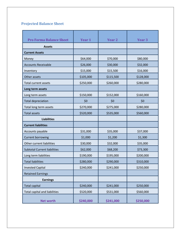# **Projected Balance Sheet**

| <b>Pro Forma Balance Sheet</b>       | Year 1    | <b>Year 2</b> | Year <sub>3</sub> |
|--------------------------------------|-----------|---------------|-------------------|
| <b>Assets</b>                        |           |               |                   |
| <b>Current Assets</b>                |           |               |                   |
| Money                                | \$64,000  | \$70,000      | \$80,000          |
| <b>Accounts Receivable</b>           | \$26,000  | \$30,000      | \$32,000          |
| Inventory                            | \$15,000  | \$15,500      | \$16,000          |
| Other assets                         | \$105,000 | \$115,500     | \$128,000         |
| <b>Total current assets</b>          | \$250,000 | \$260,000     | \$280,000         |
| Long term assets                     |           |               |                   |
| Long term assets                     | \$150,000 | \$152,000     | \$160,000         |
| <b>Total depreciation</b>            | \$0       | \$0           | \$0               |
| Total long term assets               | \$270,000 | \$275,000     | \$280,000         |
| <b>Total assets</b>                  | \$520,000 | \$535,000     | \$560,000         |
| <b>Liabilities</b>                   |           |               |                   |
| <b>Current liabilities</b>           |           |               |                   |
| Accounts payable                     | \$31,000  | \$35,000      | \$37,000          |
| <b>Current borrowing</b>             | \$1,000   | \$1,200       | \$1,300           |
| Other current liabilities            | \$30,000  | \$32,000      | \$35,000          |
| <b>Subtotal Current liabilities</b>  | \$62,000  | \$68,200      | \$73,300          |
| Long term liabilities                | \$190,000 | \$195,000     | \$200,000         |
| <b>Total liabilities</b>             | \$280,000 | \$290,000     | \$310,000         |
| <b>Invested Capital</b>              | \$240,000 | \$241,000     | \$250,000         |
| <b>Retained Earnings</b>             |           |               |                   |
| <b>Earnings</b>                      |           |               |                   |
| <b>Total capital</b>                 | \$240,000 | \$241,000     | \$250,000         |
| <b>Total capital and liabilities</b> | \$520,000 | \$531,000     | \$560,000         |
| <b>Net worth</b>                     | \$240,000 | \$241,000     | \$250,000         |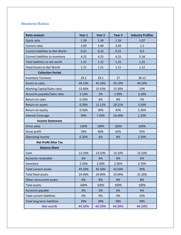# <span id="page-23-0"></span>**Business Ratios**

| <b>Ratio analysis</b>                   | Year 1 | Year 2 | Year 3 | <b>Industry Profiles</b> |
|-----------------------------------------|--------|--------|--------|--------------------------|
| Quick ratio                             | 1.39   | 1.39   | 1.39   | 1.07                     |
| Current ratio                           | 3.09   | 3.09   | 3.09   | 1.5                      |
| <b>Current liabilities to Net Worth</b> | 0.25   | 0.25   | 0.25   | 0.3                      |
| Current liabilities to inventory        | 4.25   | 4.25   | 4.25   | 5.34                     |
| Total liabilities to net worth          | 1.25   | 1.25   | 1.25   | 1.25                     |
| Fixed Assets to Net Worth               | 1.21   | 1.21   | 1.21   | 1.12                     |
| <b>Collection Period</b>                |        |        |        |                          |
| <b>Inventory Turnover</b>               | 29.2   | 29.1   | 27     | 30.12                    |
| Assets to sales                         | 49.10% | 45.20% | 45.19% | 49.20%                   |
| Working Capital/Sales ratio             | 15.60% | 15.43% | 15.30% | 13%                      |
| Accounts payable/Sales ratio            | 3.10%  | 3%     | 2.99%  | 3.20%                    |
| Return on sales                         | 0.20%  | 6%     | 8%     | 2%                       |
| Return on assets                        | 0.30%  | 12.12% | 20.21% | 2.50%                    |
| Return on equity                        | 0.50%  | 30%    | 43%    | 5.30%                    |
| <b>Interest Coverage</b>                | 90%    | 7.50%  | 16.40% | 1.20%                    |
| <b>Income Statement</b>                 |        |        |        |                          |
| Gross sales                             | 100%   | 100%   | 100%   | 100%                     |
| Gross profit                            | 59%    | 60%    | 65%    | 55%                      |
| Operating income                        | 0.20%  | 6%     | 8%     | 2.20%                    |
| <b>Net Profit After Tax</b>             |        |        |        |                          |
| <b>Balance Sheet</b>                    |        |        |        |                          |
| Cash                                    | 13.10% | 13.10% | 13.10% | 13.10%                   |
| Accounts receivable                     | 6%     | 6%     | 6%     | 6%                       |
| Inventory                               | 2.50%  | 2.50%  | 2.50%  | 2.70%                    |
| Total current assets                    | 45.50% | 45.50% | 45.50% | 49%                      |
| <b>Total fixed assets</b>               | 24.90% | 24.90% | 24.90% | 21.20%                   |
| Other noncurrent assets                 | 8%     | 8%     | 8%     | 8%                       |
| <b>Total assets</b>                     | 100%   | 100%   | 100%   | 100%                     |
| Accounts payable                        | 6%     | 6%     | 6%     | 6%                       |
| <b>Total current liabilities</b>        | 0%     | 0%     | 0%     | 15%                      |
| Total long term liabilities             | 39%    | 39%    | 39%    | 39%                      |
| <b>Net worth</b>                        | 44.50% | 44.50% | 44.50% | 44.50%                   |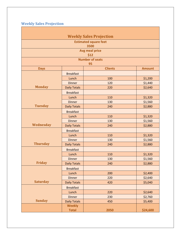<span id="page-24-0"></span>**Weekly Sales Projection**

| <b>Weekly Sales Projection</b> |                     |                                      |               |  |  |
|--------------------------------|---------------------|--------------------------------------|---------------|--|--|
|                                |                     | <b>Estimated square feet</b><br>3500 |               |  |  |
|                                |                     | Avg meal price                       |               |  |  |
|                                |                     | \$12                                 |               |  |  |
|                                |                     | <b>Number of seats</b>               |               |  |  |
|                                |                     | 95                                   |               |  |  |
| <b>Days</b>                    |                     | <b>Clients</b>                       | <b>Amount</b> |  |  |
|                                | <b>Breakfast</b>    |                                      |               |  |  |
|                                | Lunch               | 100                                  | \$1,200       |  |  |
|                                | <b>Dinner</b>       | 120                                  | \$1,440       |  |  |
| <b>Monday</b>                  | <b>Daily Totals</b> | 220                                  | \$2,640       |  |  |
|                                | <b>Breakfast</b>    |                                      |               |  |  |
|                                | Lunch               | 110                                  | \$1,320       |  |  |
|                                | <b>Dinner</b>       | 130                                  | \$1,560       |  |  |
| <b>Tuesday</b>                 | <b>Daily Totals</b> | 240                                  | \$2,880       |  |  |
|                                | <b>Breakfast</b>    |                                      |               |  |  |
|                                | Lunch               | 110                                  | \$1,320       |  |  |
|                                | <b>Dinner</b>       | 130                                  | \$1,560       |  |  |
| Wednesday                      | <b>Daily Totals</b> | 240                                  | \$2,880       |  |  |
|                                | <b>Breakfast</b>    |                                      |               |  |  |
|                                | Lunch               | 110                                  | \$1,320       |  |  |
|                                | <b>Dinner</b>       | 130                                  | \$1,560       |  |  |
| <b>Thursday</b>                | <b>Daily Totals</b> | 240                                  | \$2,880       |  |  |
|                                | <b>Breakfast</b>    |                                      |               |  |  |
|                                | Lunch               | 110                                  | \$1,320       |  |  |
|                                | <b>Dinner</b>       | 130                                  | \$1,560       |  |  |
| Friday                         | <b>Daily Totals</b> | 240                                  | \$2,880       |  |  |
|                                | <b>Breakfast</b>    |                                      |               |  |  |
|                                | Lunch               | 200                                  | \$2,400       |  |  |
|                                | <b>Dinner</b>       | 220                                  | \$2,640       |  |  |
| <b>Saturday</b>                | <b>Daily Totals</b> | 420                                  | \$5,040       |  |  |
|                                | <b>Breakfast</b>    |                                      |               |  |  |
|                                | Lunch               | 220                                  | \$2,640       |  |  |
|                                | <b>Dinner</b>       | 230                                  | \$2,760       |  |  |
| <b>Sunday</b>                  | <b>Daily Totals</b> | 450                                  | \$5,400       |  |  |
|                                | <b>Weekly</b>       |                                      |               |  |  |
|                                | <b>Total</b>        | 2050                                 | \$24,600      |  |  |